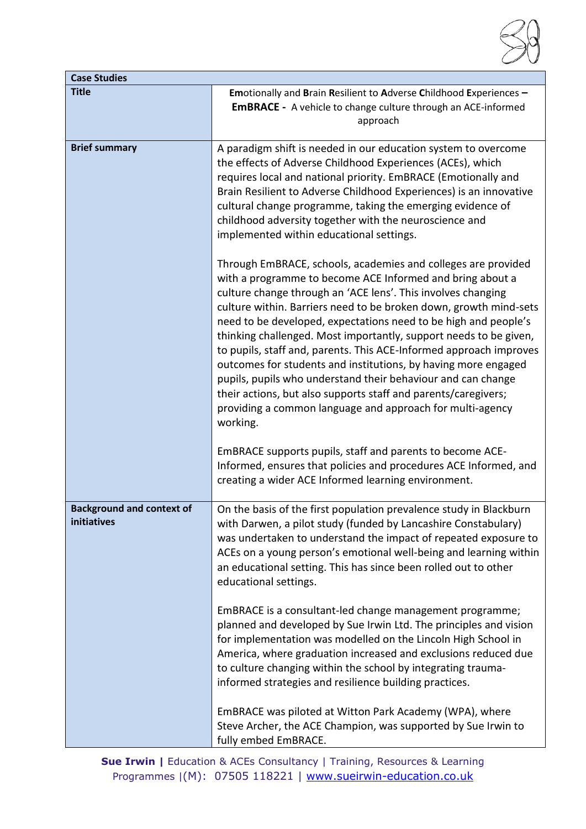

| <b>Case Studies</b>                             |                                                                                                                                                                                                                                                                                                                                                                                                                                                                                                                                                                                                                                                                                                                                                                                                                                                                                                                                                                                                                                                                                                                                                                                                        |
|-------------------------------------------------|--------------------------------------------------------------------------------------------------------------------------------------------------------------------------------------------------------------------------------------------------------------------------------------------------------------------------------------------------------------------------------------------------------------------------------------------------------------------------------------------------------------------------------------------------------------------------------------------------------------------------------------------------------------------------------------------------------------------------------------------------------------------------------------------------------------------------------------------------------------------------------------------------------------------------------------------------------------------------------------------------------------------------------------------------------------------------------------------------------------------------------------------------------------------------------------------------------|
| <b>Title</b>                                    | Emotionally and Brain Resilient to Adverse Childhood Experiences -<br><b>EMBRACE</b> - A vehicle to change culture through an ACE-informed<br>approach                                                                                                                                                                                                                                                                                                                                                                                                                                                                                                                                                                                                                                                                                                                                                                                                                                                                                                                                                                                                                                                 |
| <b>Brief summary</b>                            | A paradigm shift is needed in our education system to overcome<br>the effects of Adverse Childhood Experiences (ACEs), which<br>requires local and national priority. EmBRACE (Emotionally and<br>Brain Resilient to Adverse Childhood Experiences) is an innovative<br>cultural change programme, taking the emerging evidence of<br>childhood adversity together with the neuroscience and<br>implemented within educational settings.<br>Through EmBRACE, schools, academies and colleges are provided<br>with a programme to become ACE Informed and bring about a<br>culture change through an 'ACE lens'. This involves changing<br>culture within. Barriers need to be broken down, growth mind-sets<br>need to be developed, expectations need to be high and people's<br>thinking challenged. Most importantly, support needs to be given,<br>to pupils, staff and, parents. This ACE-Informed approach improves<br>outcomes for students and institutions, by having more engaged<br>pupils, pupils who understand their behaviour and can change<br>their actions, but also supports staff and parents/caregivers;<br>providing a common language and approach for multi-agency<br>working. |
|                                                 | EmBRACE supports pupils, staff and parents to become ACE-<br>Informed, ensures that policies and procedures ACE Informed, and<br>creating a wider ACE Informed learning environment.                                                                                                                                                                                                                                                                                                                                                                                                                                                                                                                                                                                                                                                                                                                                                                                                                                                                                                                                                                                                                   |
| <b>Background and context of</b><br>initiatives | On the basis of the first population prevalence study in Blackburn<br>with Darwen, a pilot study (funded by Lancashire Constabulary)<br>was undertaken to understand the impact of repeated exposure to<br>ACEs on a young person's emotional well-being and learning within<br>an educational setting. This has since been rolled out to other<br>educational settings.                                                                                                                                                                                                                                                                                                                                                                                                                                                                                                                                                                                                                                                                                                                                                                                                                               |
|                                                 | EmBRACE is a consultant-led change management programme;<br>planned and developed by Sue Irwin Ltd. The principles and vision<br>for implementation was modelled on the Lincoln High School in<br>America, where graduation increased and exclusions reduced due<br>to culture changing within the school by integrating trauma-<br>informed strategies and resilience building practices.                                                                                                                                                                                                                                                                                                                                                                                                                                                                                                                                                                                                                                                                                                                                                                                                             |
|                                                 | EmBRACE was piloted at Witton Park Academy (WPA), where<br>Steve Archer, the ACE Champion, was supported by Sue Irwin to<br>fully embed EmBRACE.                                                                                                                                                                                                                                                                                                                                                                                                                                                                                                                                                                                                                                                                                                                                                                                                                                                                                                                                                                                                                                                       |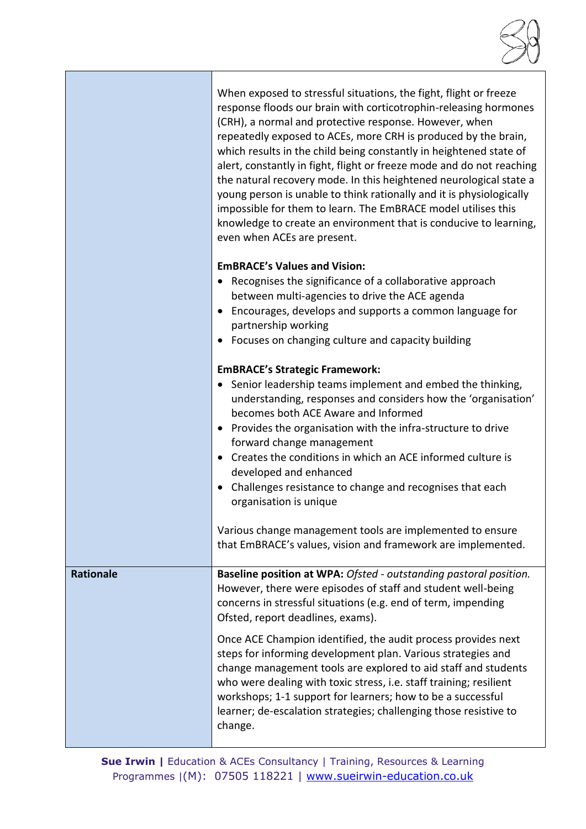|                  | When exposed to stressful situations, the fight, flight or freeze<br>response floods our brain with corticotrophin-releasing hormones<br>(CRH), a normal and protective response. However, when<br>repeatedly exposed to ACEs, more CRH is produced by the brain,<br>which results in the child being constantly in heightened state of<br>alert, constantly in fight, flight or freeze mode and do not reaching<br>the natural recovery mode. In this heightened neurological state a<br>young person is unable to think rationally and it is physiologically<br>impossible for them to learn. The EmBRACE model utilises this<br>knowledge to create an environment that is conducive to learning,<br>even when ACEs are present. |
|------------------|-------------------------------------------------------------------------------------------------------------------------------------------------------------------------------------------------------------------------------------------------------------------------------------------------------------------------------------------------------------------------------------------------------------------------------------------------------------------------------------------------------------------------------------------------------------------------------------------------------------------------------------------------------------------------------------------------------------------------------------|
|                  | <b>EMBRACE's Values and Vision:</b><br>• Recognises the significance of a collaborative approach<br>between multi-agencies to drive the ACE agenda<br>Encourages, develops and supports a common language for<br>partnership working<br>Focuses on changing culture and capacity building                                                                                                                                                                                                                                                                                                                                                                                                                                           |
|                  | <b>EmBRACE's Strategic Framework:</b><br>• Senior leadership teams implement and embed the thinking,<br>understanding, responses and considers how the 'organisation'<br>becomes both ACE Aware and Informed<br>• Provides the organisation with the infra-structure to drive<br>forward change management<br>Creates the conditions in which an ACE informed culture is<br>developed and enhanced<br>• Challenges resistance to change and recognises that each<br>organisation is unique                                                                                                                                                                                                                                          |
|                  | Various change management tools are implemented to ensure<br>that EmBRACE's values, vision and framework are implemented.                                                                                                                                                                                                                                                                                                                                                                                                                                                                                                                                                                                                           |
| <b>Rationale</b> | Baseline position at WPA: Ofsted - outstanding pastoral position.<br>However, there were episodes of staff and student well-being<br>concerns in stressful situations (e.g. end of term, impending<br>Ofsted, report deadlines, exams).<br>Once ACE Champion identified, the audit process provides next<br>steps for informing development plan. Various strategies and<br>change management tools are explored to aid staff and students                                                                                                                                                                                                                                                                                          |
|                  | who were dealing with toxic stress, i.e. staff training; resilient<br>workshops; 1-1 support for learners; how to be a successful<br>learner; de-escalation strategies; challenging those resistive to<br>change.                                                                                                                                                                                                                                                                                                                                                                                                                                                                                                                   |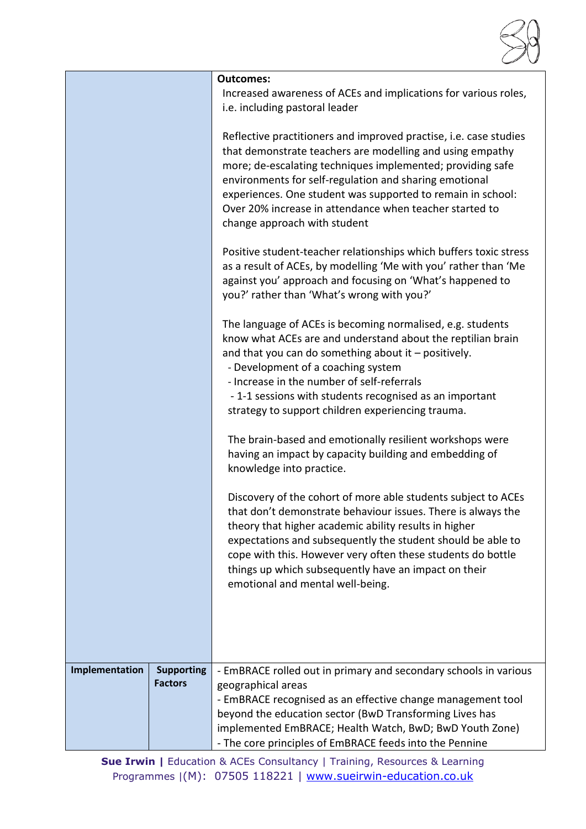

|                |                                     | <b>Outcomes:</b><br>Increased awareness of ACEs and implications for various roles,<br>i.e. including pastoral leader                                                                                                                                                                                                                                                                                            |
|----------------|-------------------------------------|------------------------------------------------------------------------------------------------------------------------------------------------------------------------------------------------------------------------------------------------------------------------------------------------------------------------------------------------------------------------------------------------------------------|
|                |                                     | Reflective practitioners and improved practise, i.e. case studies<br>that demonstrate teachers are modelling and using empathy<br>more; de-escalating techniques implemented; providing safe<br>environments for self-regulation and sharing emotional<br>experiences. One student was supported to remain in school:<br>Over 20% increase in attendance when teacher started to<br>change approach with student |
|                |                                     | Positive student-teacher relationships which buffers toxic stress<br>as a result of ACEs, by modelling 'Me with you' rather than 'Me<br>against you' approach and focusing on 'What's happened to<br>you?' rather than 'What's wrong with you?'                                                                                                                                                                  |
|                |                                     | The language of ACEs is becoming normalised, e.g. students<br>know what ACEs are and understand about the reptilian brain<br>and that you can do something about it - positively.<br>- Development of a coaching system<br>- Increase in the number of self-referrals<br>- 1-1 sessions with students recognised as an important                                                                                 |
|                |                                     | strategy to support children experiencing trauma.                                                                                                                                                                                                                                                                                                                                                                |
|                |                                     | The brain-based and emotionally resilient workshops were<br>having an impact by capacity building and embedding of<br>knowledge into practice.                                                                                                                                                                                                                                                                   |
|                |                                     | Discovery of the cohort of more able students subject to ACEs<br>that don't demonstrate behaviour issues. There is always the<br>theory that higher academic ability results in higher<br>expectations and subsequently the student should be able to<br>cope with this. However very often these students do bottle<br>things up which subsequently have an impact on their<br>emotional and mental well-being. |
|                |                                     |                                                                                                                                                                                                                                                                                                                                                                                                                  |
| Implementation | <b>Supporting</b><br><b>Factors</b> | - EmBRACE rolled out in primary and secondary schools in various<br>geographical areas<br>- EmBRACE recognised as an effective change management tool<br>beyond the education sector (BwD Transforming Lives has<br>implemented EmBRACE; Health Watch, BwD; BwD Youth Zone)                                                                                                                                      |
|                |                                     | - The core principles of EmBRACE feeds into the Pennine                                                                                                                                                                                                                                                                                                                                                          |

**Sue Irwin |** Education & ACEs Consultancy | Training, Resources & Learning Programmes |(M): 07505 118221 | [www.sueirwin-education.co.uk](http://www.sueirwin-education.co.uk/)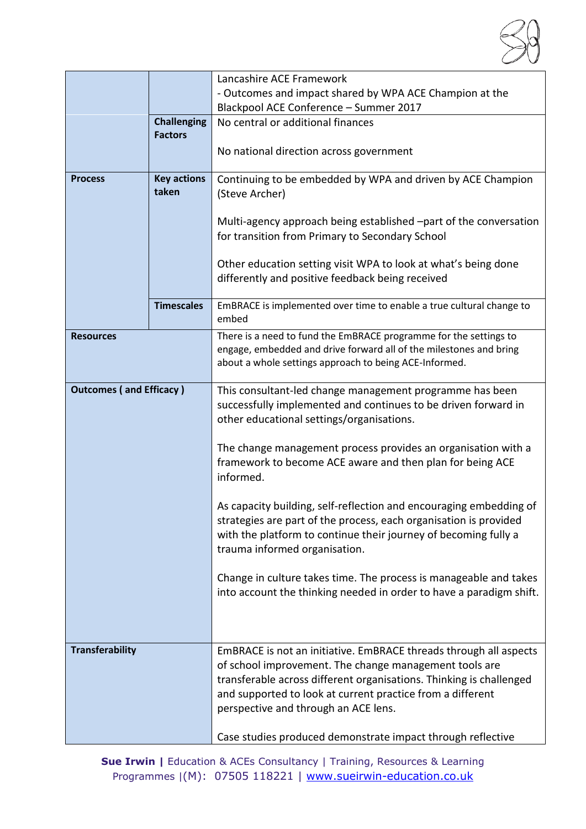

|                                |                    | Lancashire ACE Framework                                                                                    |
|--------------------------------|--------------------|-------------------------------------------------------------------------------------------------------------|
|                                |                    | - Outcomes and impact shared by WPA ACE Champion at the                                                     |
|                                |                    | Blackpool ACE Conference - Summer 2017                                                                      |
|                                | <b>Challenging</b> | No central or additional finances                                                                           |
|                                | <b>Factors</b>     |                                                                                                             |
|                                |                    | No national direction across government                                                                     |
| <b>Process</b>                 | <b>Key actions</b> | Continuing to be embedded by WPA and driven by ACE Champion                                                 |
|                                | taken              | (Steve Archer)                                                                                              |
|                                |                    |                                                                                                             |
|                                |                    | Multi-agency approach being established -part of the conversation                                           |
|                                |                    | for transition from Primary to Secondary School                                                             |
|                                |                    |                                                                                                             |
|                                |                    | Other education setting visit WPA to look at what's being done                                              |
|                                |                    | differently and positive feedback being received                                                            |
|                                | <b>Timescales</b>  | EmBRACE is implemented over time to enable a true cultural change to                                        |
|                                |                    | embed                                                                                                       |
| <b>Resources</b>               |                    | There is a need to fund the EmBRACE programme for the settings to                                           |
|                                |                    | engage, embedded and drive forward all of the milestones and bring                                          |
|                                |                    | about a whole settings approach to being ACE-Informed.                                                      |
|                                |                    |                                                                                                             |
| <b>Outcomes (and Efficacy)</b> |                    | This consultant-led change management programme has been                                                    |
|                                |                    | successfully implemented and continues to be driven forward in<br>other educational settings/organisations. |
|                                |                    |                                                                                                             |
|                                |                    | The change management process provides an organisation with a                                               |
|                                |                    | framework to become ACE aware and then plan for being ACE                                                   |
|                                |                    | informed.                                                                                                   |
|                                |                    |                                                                                                             |
|                                |                    | As capacity building, self-reflection and encouraging embedding of                                          |
|                                |                    | strategies are part of the process, each organisation is provided                                           |
|                                |                    | with the platform to continue their journey of becoming fully a                                             |
|                                |                    | trauma informed organisation.                                                                               |
|                                |                    |                                                                                                             |
|                                |                    | Change in culture takes time. The process is manageable and takes                                           |
|                                |                    | into account the thinking needed in order to have a paradigm shift.                                         |
|                                |                    |                                                                                                             |
|                                |                    |                                                                                                             |
| <b>Transferability</b>         |                    | EmBRACE is not an initiative. EmBRACE threads through all aspects                                           |
|                                |                    | of school improvement. The change management tools are                                                      |
|                                |                    | transferable across different organisations. Thinking is challenged                                         |
|                                |                    | and supported to look at current practice from a different                                                  |
|                                |                    | perspective and through an ACE lens.                                                                        |
|                                |                    |                                                                                                             |
|                                |                    | Case studies produced demonstrate impact through reflective                                                 |

**Sue Irwin |** Education & ACEs Consultancy | Training, Resources & Learning Programmes |(M): 07505 118221 | [www.sueirwin-education.co.uk](http://www.sueirwin-education.co.uk/)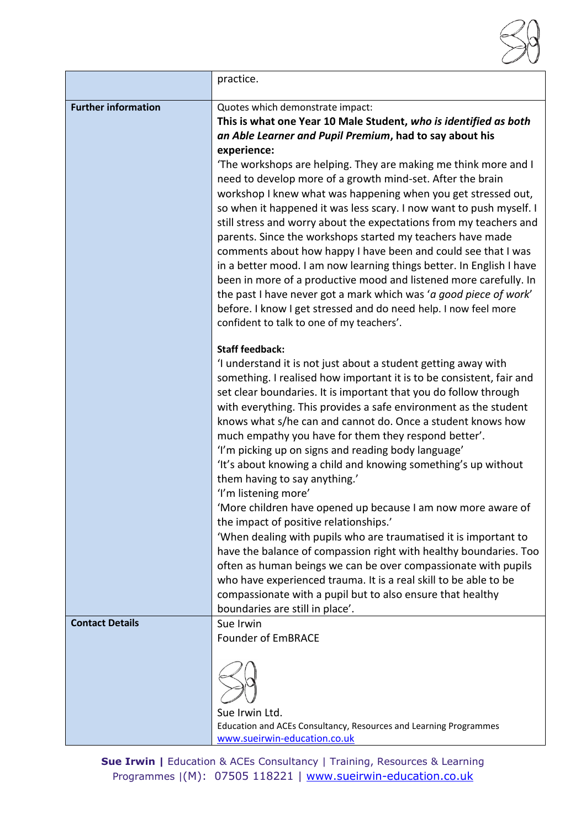|                            | practice.                                                                                                                                                                                                                                                                                                                                                                                                                                                                                                                                                                                                                                                                                                                                                                                                                                                                                                                                                                                                  |
|----------------------------|------------------------------------------------------------------------------------------------------------------------------------------------------------------------------------------------------------------------------------------------------------------------------------------------------------------------------------------------------------------------------------------------------------------------------------------------------------------------------------------------------------------------------------------------------------------------------------------------------------------------------------------------------------------------------------------------------------------------------------------------------------------------------------------------------------------------------------------------------------------------------------------------------------------------------------------------------------------------------------------------------------|
| <b>Further information</b> | Quotes which demonstrate impact:<br>This is what one Year 10 Male Student, who is identified as both<br>an Able Learner and Pupil Premium, had to say about his<br>experience:<br>'The workshops are helping. They are making me think more and I<br>need to develop more of a growth mind-set. After the brain<br>workshop I knew what was happening when you get stressed out,<br>so when it happened it was less scary. I now want to push myself. I<br>still stress and worry about the expectations from my teachers and<br>parents. Since the workshops started my teachers have made<br>comments about how happy I have been and could see that I was<br>in a better mood. I am now learning things better. In English I have<br>been in more of a productive mood and listened more carefully. In<br>the past I have never got a mark which was 'a good piece of work'<br>before. I know I get stressed and do need help. I now feel more<br>confident to talk to one of my teachers'.             |
|                            | <b>Staff feedback:</b><br>'I understand it is not just about a student getting away with<br>something. I realised how important it is to be consistent, fair and<br>set clear boundaries. It is important that you do follow through<br>with everything. This provides a safe environment as the student<br>knows what s/he can and cannot do. Once a student knows how<br>much empathy you have for them they respond better'.<br>'I'm picking up on signs and reading body language'<br>'It's about knowing a child and knowing something's up without<br>them having to say anything.'<br>'I'm listening more'<br>'More children have opened up because I am now more aware of<br>the impact of positive relationships.'<br>'When dealing with pupils who are traumatised it is important to<br>have the balance of compassion right with healthy boundaries. Too<br>often as human beings we can be over compassionate with pupils<br>who have experienced trauma. It is a real skill to be able to be |
|                            | compassionate with a pupil but to also ensure that healthy<br>boundaries are still in place'.                                                                                                                                                                                                                                                                                                                                                                                                                                                                                                                                                                                                                                                                                                                                                                                                                                                                                                              |
| <b>Contact Details</b>     | Sue Irwin<br><b>Founder of EmBRACE</b><br>Sue Irwin Ltd.<br>Education and ACEs Consultancy, Resources and Learning Programmes<br>www.sueirwin-education.co.uk                                                                                                                                                                                                                                                                                                                                                                                                                                                                                                                                                                                                                                                                                                                                                                                                                                              |

**Sue Irwin |** Education & ACEs Consultancy | Training, Resources & Learning Programmes |(M): 07505 118221 | [www.sueirwin-education.co.uk](http://www.sueirwin-education.co.uk/)